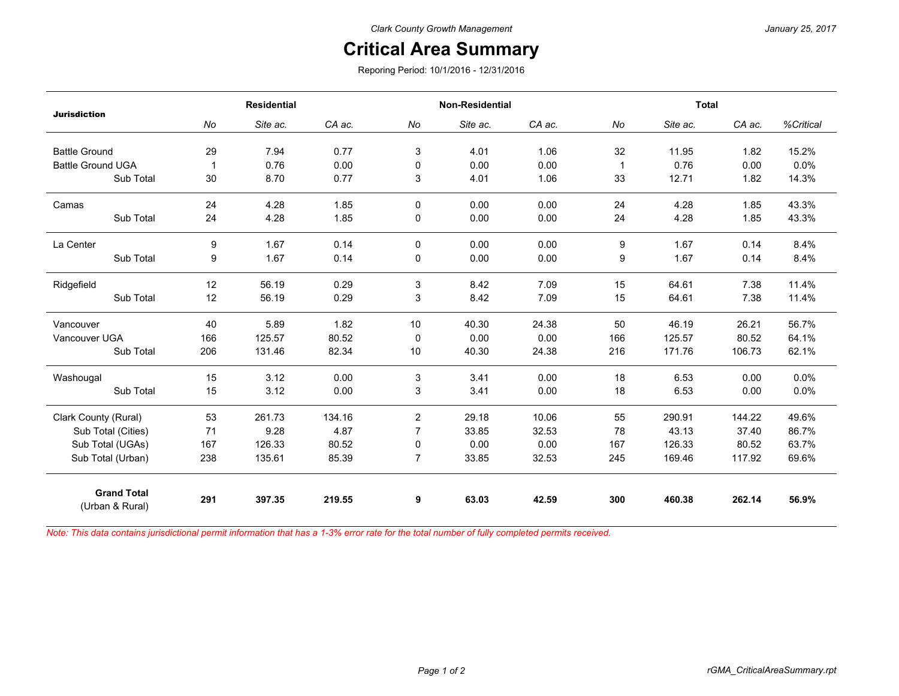## **Critical Area Summary**

Reporing Period: 10/1/2016 - 12/31/2016

| <b>Jurisdiction</b>                   | <b>Residential</b> |          |        | <b>Non-Residential</b> |          |        | <b>Total</b> |          |        |           |
|---------------------------------------|--------------------|----------|--------|------------------------|----------|--------|--------------|----------|--------|-----------|
|                                       | No                 | Site ac. | CA ac. | No                     | Site ac. | CA ac. | No           | Site ac. | CA ac. | %Critical |
| <b>Battle Ground</b>                  | 29                 | 7.94     | 0.77   | 3                      | 4.01     | 1.06   | 32           | 11.95    | 1.82   | 15.2%     |
| <b>Battle Ground UGA</b>              | 1                  | 0.76     | 0.00   | 0                      | 0.00     | 0.00   | $\mathbf 1$  | 0.76     | 0.00   | 0.0%      |
| Sub Total                             | 30                 | 8.70     | 0.77   | 3                      | 4.01     | 1.06   | 33           | 12.71    | 1.82   | 14.3%     |
| Camas                                 | 24                 | 4.28     | 1.85   | $\Omega$               | 0.00     | 0.00   | 24           | 4.28     | 1.85   | 43.3%     |
| Sub Total                             | 24                 | 4.28     | 1.85   | 0                      | 0.00     | 0.00   | 24           | 4.28     | 1.85   | 43.3%     |
| La Center                             | 9                  | 1.67     | 0.14   | $\mathbf{0}$           | 0.00     | 0.00   | 9            | 1.67     | 0.14   | 8.4%      |
| Sub Total                             | 9                  | 1.67     | 0.14   | 0                      | 0.00     | 0.00   | 9            | 1.67     | 0.14   | 8.4%      |
| Ridgefield                            | 12                 | 56.19    | 0.29   | 3                      | 8.42     | 7.09   | 15           | 64.61    | 7.38   | 11.4%     |
| Sub Total                             | 12                 | 56.19    | 0.29   | 3                      | 8.42     | 7.09   | 15           | 64.61    | 7.38   | 11.4%     |
| Vancouver                             | 40                 | 5.89     | 1.82   | 10                     | 40.30    | 24.38  | 50           | 46.19    | 26.21  | 56.7%     |
| Vancouver UGA                         | 166                | 125.57   | 80.52  | 0                      | 0.00     | 0.00   | 166          | 125.57   | 80.52  | 64.1%     |
| Sub Total                             | 206                | 131.46   | 82.34  | 10                     | 40.30    | 24.38  | 216          | 171.76   | 106.73 | 62.1%     |
| Washougal                             | 15                 | 3.12     | 0.00   | 3                      | 3.41     | 0.00   | 18           | 6.53     | 0.00   | 0.0%      |
| Sub Total                             | 15                 | 3.12     | 0.00   | 3                      | 3.41     | 0.00   | 18           | 6.53     | 0.00   | 0.0%      |
| Clark County (Rural)                  | 53                 | 261.73   | 134.16 | $\overline{2}$         | 29.18    | 10.06  | 55           | 290.91   | 144.22 | 49.6%     |
| Sub Total (Cities)                    | 71                 | 9.28     | 4.87   | $\overline{7}$         | 33.85    | 32.53  | 78           | 43.13    | 37.40  | 86.7%     |
| Sub Total (UGAs)                      | 167                | 126.33   | 80.52  | 0                      | 0.00     | 0.00   | 167          | 126.33   | 80.52  | 63.7%     |
| Sub Total (Urban)                     | 238                | 135.61   | 85.39  | $\overline{7}$         | 33.85    | 32.53  | 245          | 169.46   | 117.92 | 69.6%     |
| <b>Grand Total</b><br>(Urban & Rural) | 291                | 397.35   | 219.55 | 9                      | 63.03    | 42.59  | 300          | 460.38   | 262.14 | 56.9%     |

*Note: This data contains jurisdictional permit information that has a 1-3% error rate for the total number of fully completed permits received.*